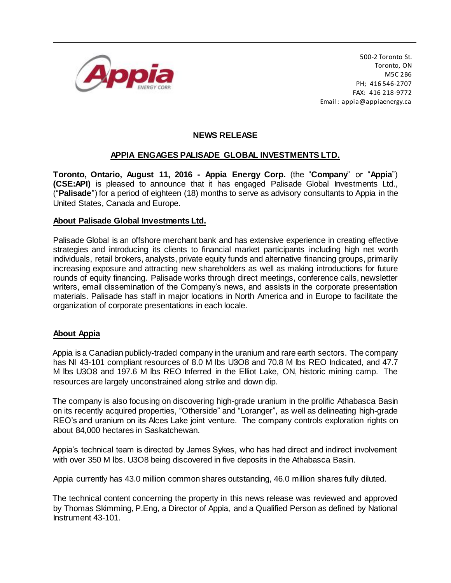

500-2 Toronto St. Toronto, ON M5C 2B6 PH; 416 546-2707 FAX: 416 218-9772 Email: appia@appiaenergy.ca

## **NEWS RELEASE**

## **APPIA ENGAGES PALISADE GLOBAL INVESTMENTS LTD.**

**Toronto, Ontario, August 11, 2016 - Appia Energy Corp.** (the "**Company**" or "**Appia**") **(CSE:API)** is pleased to announce that it has engaged Palisade Global Investments Ltd., ("**Palisade**") for a period of eighteen (18) months to serve as advisory consultants to Appia in the United States, Canada and Europe.

## **About Palisade Global Investments Ltd.**

Palisade Global is an offshore merchant bank and has extensive experience in creating effective strategies and introducing its clients to financial market participants including high net worth individuals, retail brokers, analysts, private equity funds and alternative financing groups, primarily increasing exposure and attracting new shareholders as well as making introductions for future rounds of equity financing. Palisade works through direct meetings, conference calls, newsletter writers, email dissemination of the Company's news, and assists in the corporate presentation materials. Palisade has staff in major locations in North America and in Europe to facilitate the organization of corporate presentations in each locale.

## **About Appia**

Appia is a Canadian publicly-traded company in the uranium and rare earth sectors. The company has NI 43-101 compliant resources of 8.0 M lbs U3O8 and 70.8 M lbs REO Indicated, and 47.7 M lbs U3O8 and 197.6 M lbs REO Inferred in the Elliot Lake, ON, historic mining camp. The resources are largely unconstrained along strike and down dip.

The company is also focusing on discovering high-grade uranium in the prolific Athabasca Basin on its recently acquired properties, "Otherside" and "Loranger", as well as delineating high-grade REO's and uranium on its Alces Lake joint venture. The company controls exploration rights on about 84,000 hectares in Saskatchewan.

Appia's technical team is directed by James Sykes, who has had direct and indirect involvement with over 350 M lbs. U3O8 being discovered in five deposits in the Athabasca Basin.

Appia currently has 43.0 million common shares outstanding, 46.0 million shares fully diluted.

The technical content concerning the property in this news release was reviewed and approved by Thomas Skimming, P.Eng, a Director of Appia, and a Qualified Person as defined by National Instrument 43-101.